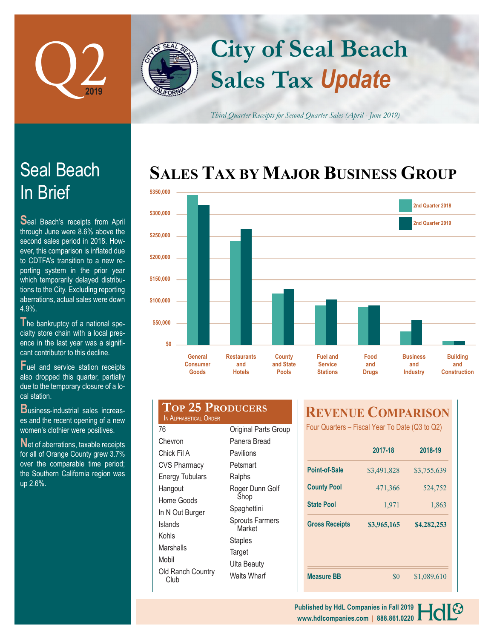

# **Sales Tax** *Update* **City of Seal Beach**

*Third Quarter Receipts for Second Quarter Sales (April - June 2019)*

### **SALES TAX BY MAJOR BUSINESS GROUP**



## In Brief Seal Beach

**S**eal Beach's receipts from April through June were 8.6% above the second sales period in 2018. However, this comparison is inflated due to CDTFA's transition to a new reporting system in the prior year which temporarily delayed distributions to the City. Excluding reporting aberrations, actual sales were down 4.9%.

**T**he bankruptcy of a national specialty store chain with a local presence in the last year was a significant contributor to this decline.

**F**uel and service station receipts also dropped this quarter, partially due to the temporary closure of a local station.

**B**usiness-industrial sales increases and the recent opening of a new women's clothier were positives.

**N**et of aberrations, taxable receipts for all of Orange County grew 3.7% over the comparable time period; the Southern California region was up 2.6%.

|                       | <b>TOP 25 PRODUCERS</b> |
|-----------------------|-------------------------|
| IN ALPHABETICAL ORDER |                         |

Original Parts Group Panera Bread Pavilions Petsmart Ralphs

Roger Dunn Golf Shop **Spaghettini** Sprouts Farmers **Market Staples Target** Ulta Beauty Walts Wharf

| 70                        |
|---------------------------|
| Chevron                   |
| Chick Fil A               |
| <b>CVS Pharmacy</b>       |
| <b>Energy Tubulars</b>    |
| Hangout                   |
| Home Goods                |
| In N Out Burger           |
| Islands                   |
| Kohls                     |
| Marshalls                 |
| Mobil                     |
| Old Ranch Country<br>Club |

 $\overline{\phantom{a}}$ 

### **REVENUE COMPARISON**

Four Quarters – Fiscal Year To Date (Q3 to Q2)

|                       | 2017-18     | 2018-19     |  |  |
|-----------------------|-------------|-------------|--|--|
| <b>Point-of-Sale</b>  | \$3,491,828 | \$3,755,639 |  |  |
| <b>County Pool</b>    | 471,366     | 524,752     |  |  |
| <b>State Pool</b>     | 1,971       | 1,863       |  |  |
| <b>Gross Receipts</b> | \$3,965,165 | \$4,282,253 |  |  |
| <b>Measure BB</b>     | \$0         | \$1,089,610 |  |  |